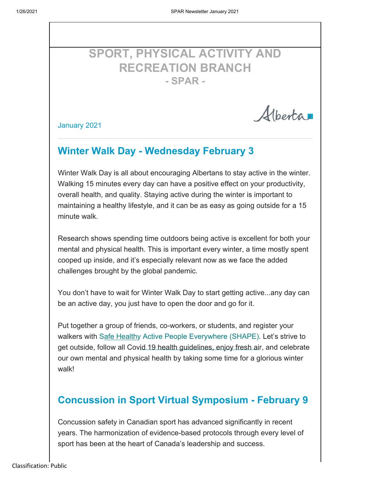# **SPORT, PHYSICAL ACTIVITY AND RECREATION BRANCH - SPAR -**

Albertan

January 2021

# **Winter Walk Day - Wednesday February 3**

Winter Walk Day is all about encouraging Albertans to stay active in the winter. Walking 15 minutes every day can have a positive effect on your productivity, overall health, and quality. Staying active during the winter is important to maintaining a healthy lifestyle, and it can be as easy as going outside for a 15 minute walk.

Research shows spending time outdoors being active is excellent for both your mental and physical health. This is important every winter, a time mostly spent cooped up inside, and it's especially relevant now as we face the added challenges brought by the global pandemic.

You don't have to wait for Winter Walk Day to start getting active...any day can be an active day, you just have to open the door and go for it.

Put together a group of friends, co-workers, or students, and register your walkers with Safe Healthy Active People Everywhere (SHAPE). Let's strive to get outside, follow all Covid 19 health guidelines, enjoy fresh air, and celebrate our own mental and physical health by taking some time for a glorious winter walk!

# **Concussion in Sport Virtual Symposium - February 9**

Concussion safety in Canadian sport has advanced significantly in recent years. The harmonization of evidence-based protocols through every level of sport has been at the heart of Canada's leadership and success.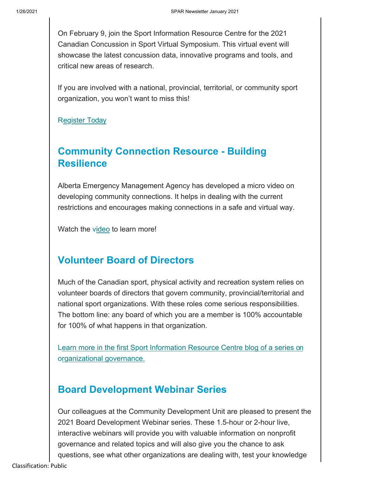On February 9, join the Sport Information Resource Centre for the 2021 Canadian Concussion in Sport Virtual Symposium. This virtual event will showcase the latest concussion data, innovative programs and tools, and critical new areas of research.

If you are involved with a national, provincial, territorial, or community sport organization, you won't want to miss this!

**Register Today** 

# **Community Connection Resource - Building Resilience**

Alberta Emergency Management Agency has developed a micro video on developing community connections. It helps in dealing with the current restrictions and encourages making connections in a safe and virtual way.

Watch the video to learn more!

## **Volunteer Board of Directors**

Much of the Canadian sport, physical activity and recreation system relies on volunteer boards of directors that govern community, provincial/territorial and national sport organizations. With these roles come serious responsibilities. The bottom line: any board of which you are a member is 100% accountable for 100% of what happens in that organization.

Learn more in the first Sport Information Resource Centre blog of a series on organizational governance.

## **Board Development Webinar Series**

Our colleagues at the Community Development Unit are pleased to present the 2021 Board Development Webinar series. These 1.5-hour or 2-hour live, interactive webinars will provide you with valuable information on nonprofit governance and related topics and will also give you the chance to ask questions, see what other organizations are dealing with, test your knowledge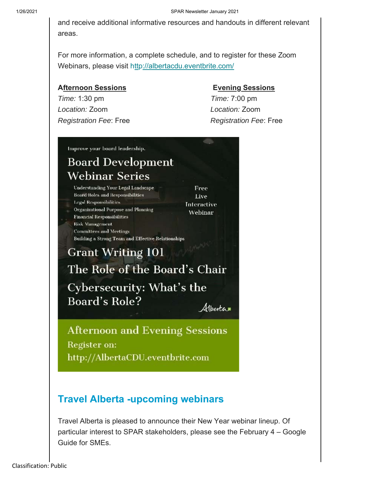and receive additional informative resources and handouts in different relevant areas.

For more information, a complete schedule, and to register for these Zoom Webinars, please visit http://albertacdu.eventbrite.com/

### **Afternoon Sessions Contract Contract Afternoon Sessions**

*Time:* 1:30 pm *Time:* 7:00 pm *Location:* Zoom *Location:* Zoom *Registration Fee*: Free *Registration Fee*: Free

Improve your board leadership.

# **Board Development** Webinar Series

Understanding Your Legal Landscape **Board Roles and Responsibilities** Legal Responsibilities Organizational Purpose and Planning **Financial Responsibilities Risk Vlanagement Committees and Meetings** Building a Strong Team and Effective Relationships

# **Grant Writing 101** The Role of the Board's Chair

Cybersecurity: What's the **Board's Role?** 

Alberta

Free

Live

**Interactive** 

Webinar

**Afternoon and Evening Sessions** Register on: http://AlbertaCDU.eventbrite.com

# **Travel Alberta -upcoming webinars**

Travel Alberta is pleased to announce their New Year webinar lineup. Of particular interest to SPAR stakeholders, please see the February 4 – Google Guide for SMEs.